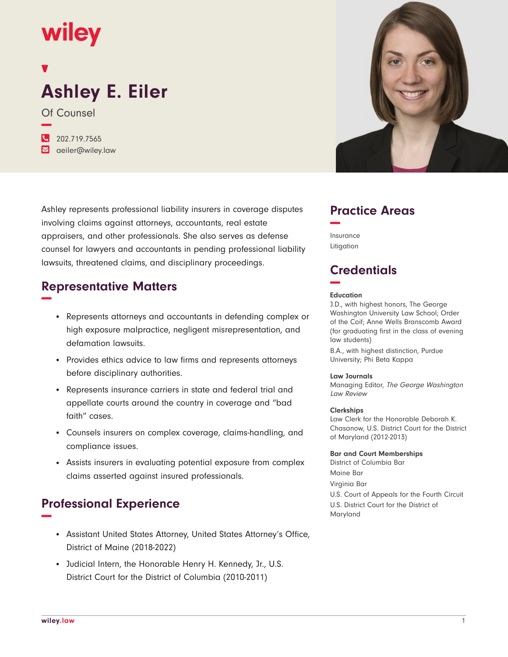## **wiley**

# **Ashley E. Eiler**

Of Counsel **−**

**�** 202.719.7565 **�** aeiler@wiley.law

Ashley represents professional liability insurers in coverage disputes involving claims against attorneys, accountants, real estate appraisers, and other professionals. She also serves as defense counsel for lawyers and accountants in pending professional liability lawsuits, threatened claims, and disciplinary proceedings.

## **Representative Matters −**

- Represents attorneys and accountants in defending complex or high exposure malpractice, negligent misrepresentation, and defamation lawsuits.
- Provides ethics advice to law firms and represents attorneys before disciplinary authorities.
- Represents insurance carriers in state and federal trial and appellate courts around the country in coverage and "bad faith" cases.
- Counsels insurers on complex coverage, claims-handling, and compliance issues.
- Assists insurers in evaluating potential exposure from complex claims asserted against insured professionals.

### **Professional Experience −**

- Assistant United States Attorney, United States Attorney's Office, District of Maine (2018-2022)
- Judicial Intern, the Honorable Henry H. Kennedy, Jr., U.S. District Court for the District of Columbia (2010-2011)



## **Practice Areas −**

Insurance Litigation

## **Credentials −**

#### **Education**

J.D., with highest honors, The George Washington University Law School; Order of the Coif; Anne Wells Branscomb Award (for graduating first in the class of evening law students)

B.A., with highest distinction, Purdue University; Phi Beta Kappa

#### **Law Journals**

Managing Editor, The George Washington Law Review

#### **Clerkships**

Law Clerk for the Honorable Deborah K. Chasanow, U.S. District Court for the District of Maryland (2012-2013)

**Bar and Court Memberships**

District of Columbia Bar Maine Bar Virginia Bar U.S. Court of Appeals for the Fourth Circuit U.S. District Court for the District of Maryland